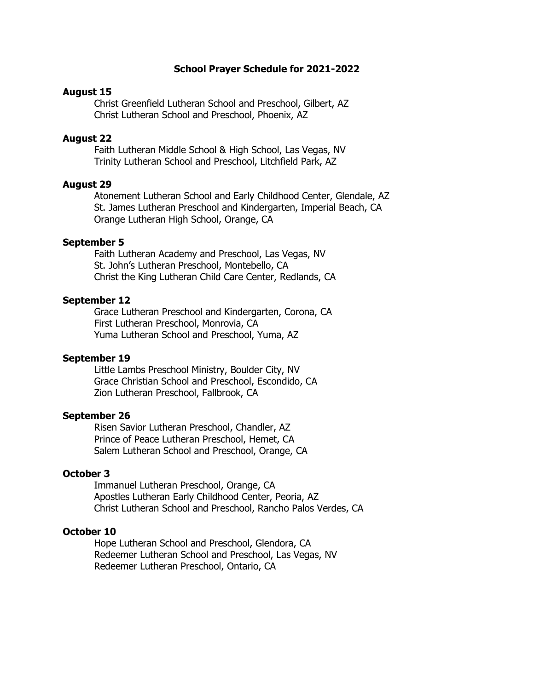## **School Prayer Schedule for 2021-2022**

# **August 15**

Christ Greenfield Lutheran School and Preschool, Gilbert, AZ Christ Lutheran School and Preschool, Phoenix, AZ

### **August 22**

Faith Lutheran Middle School & High School, Las Vegas, NV Trinity Lutheran School and Preschool, Litchfield Park, AZ

## **August 29**

Atonement Lutheran School and Early Childhood Center, Glendale, AZ St. James Lutheran Preschool and Kindergarten, Imperial Beach, CA Orange Lutheran High School, Orange, CA

### **September 5**

Faith Lutheran Academy and Preschool, Las Vegas, NV St. John's Lutheran Preschool, Montebello, CA Christ the King Lutheran Child Care Center, Redlands, CA

#### **September 12**

Grace Lutheran Preschool and Kindergarten, Corona, CA First Lutheran Preschool, Monrovia, CA Yuma Lutheran School and Preschool, Yuma, AZ

#### **September 19**

Little Lambs Preschool Ministry, Boulder City, NV Grace Christian School and Preschool, Escondido, CA Zion Lutheran Preschool, Fallbrook, CA

#### **September 26**

Risen Savior Lutheran Preschool, Chandler, AZ Prince of Peace Lutheran Preschool, Hemet, CA Salem Lutheran School and Preschool, Orange, CA

# **October 3**

Immanuel Lutheran Preschool, Orange, CA Apostles Lutheran Early Childhood Center, Peoria, AZ Christ Lutheran School and Preschool, Rancho Palos Verdes, CA

### **October 10**

Hope Lutheran School and Preschool, Glendora, CA Redeemer Lutheran School and Preschool, Las Vegas, NV Redeemer Lutheran Preschool, Ontario, CA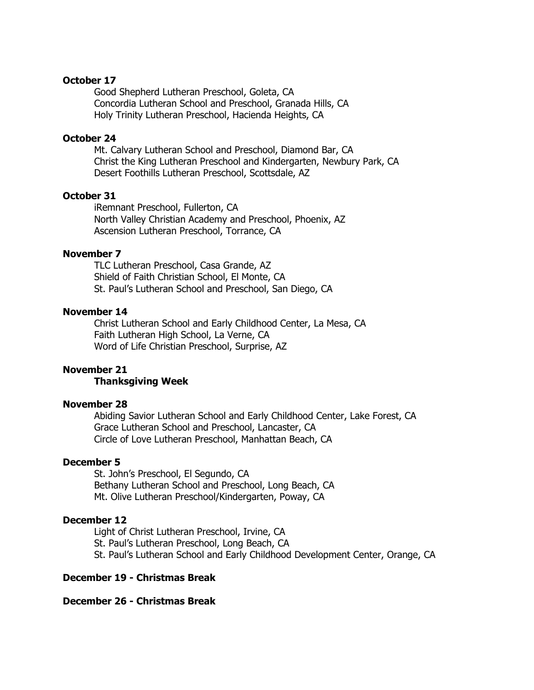# **October 17**

Good Shepherd Lutheran Preschool, Goleta, CA Concordia Lutheran School and Preschool, Granada Hills, CA Holy Trinity Lutheran Preschool, Hacienda Heights, CA

# **October 24**

Mt. Calvary Lutheran School and Preschool, Diamond Bar, CA Christ the King Lutheran Preschool and Kindergarten, Newbury Park, CA Desert Foothills Lutheran Preschool, Scottsdale, AZ

# **October 31**

iRemnant Preschool, Fullerton, CA North Valley Christian Academy and Preschool, Phoenix, AZ Ascension Lutheran Preschool, Torrance, CA

### **November 7**

TLC Lutheran Preschool, Casa Grande, AZ Shield of Faith Christian School, El Monte, CA St. Paul's Lutheran School and Preschool, San Diego, CA

# **November 14**

Christ Lutheran School and Early Childhood Center, La Mesa, CA Faith Lutheran High School, La Verne, CA Word of Life Christian Preschool, Surprise, AZ

# **November 21**

# **Thanksgiving Week**

### **November 28**

Abiding Savior Lutheran School and Early Childhood Center, Lake Forest, CA Grace Lutheran School and Preschool, Lancaster, CA Circle of Love Lutheran Preschool, Manhattan Beach, CA

#### **December 5**

St. John's Preschool, El Segundo, CA Bethany Lutheran School and Preschool, Long Beach, CA Mt. Olive Lutheran Preschool/Kindergarten, Poway, CA

#### **December 12**

Light of Christ Lutheran Preschool, Irvine, CA St. Paul's Lutheran Preschool, Long Beach, CA St. Paul's Lutheran School and Early Childhood Development Center, Orange, CA

## **December 19 - Christmas Break**

**December 26 - Christmas Break**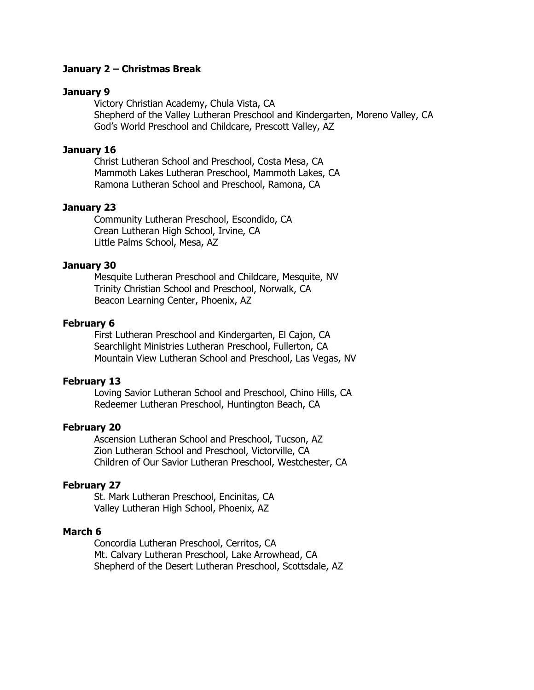# **January 2 – Christmas Break**

### **January 9**

Victory Christian Academy, Chula Vista, CA Shepherd of the Valley Lutheran Preschool and Kindergarten, Moreno Valley, CA God's World Preschool and Childcare, Prescott Valley, AZ

# **January 16**

Christ Lutheran School and Preschool, Costa Mesa, CA Mammoth Lakes Lutheran Preschool, Mammoth Lakes, CA Ramona Lutheran School and Preschool, Ramona, CA

#### **January 23**

Community Lutheran Preschool, Escondido, CA Crean Lutheran High School, Irvine, CA Little Palms School, Mesa, AZ

# **January 30**

Mesquite Lutheran Preschool and Childcare, Mesquite, NV Trinity Christian School and Preschool, Norwalk, CA Beacon Learning Center, Phoenix, AZ

# **February 6**

First Lutheran Preschool and Kindergarten, El Cajon, CA Searchlight Ministries Lutheran Preschool, Fullerton, CA Mountain View Lutheran School and Preschool, Las Vegas, NV

#### **February 13**

Loving Savior Lutheran School and Preschool, Chino Hills, CA Redeemer Lutheran Preschool, Huntington Beach, CA

#### **February 20**

Ascension Lutheran School and Preschool, Tucson, AZ Zion Lutheran School and Preschool, Victorville, CA Children of Our Savior Lutheran Preschool, Westchester, CA

# **February 27**

St. Mark Lutheran Preschool, Encinitas, CA Valley Lutheran High School, Phoenix, AZ

# **March 6**

Concordia Lutheran Preschool, Cerritos, CA Mt. Calvary Lutheran Preschool, Lake Arrowhead, CA Shepherd of the Desert Lutheran Preschool, Scottsdale, AZ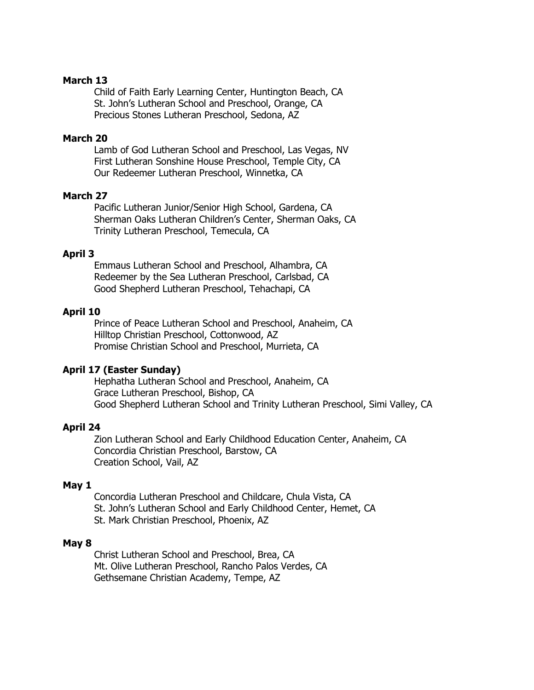# **March 13**

Child of Faith Early Learning Center, Huntington Beach, CA St. John's Lutheran School and Preschool, Orange, CA Precious Stones Lutheran Preschool, Sedona, AZ

# **March 20**

Lamb of God Lutheran School and Preschool, Las Vegas, NV First Lutheran Sonshine House Preschool, Temple City, CA Our Redeemer Lutheran Preschool, Winnetka, CA

# **March 27**

Pacific Lutheran Junior/Senior High School, Gardena, CA Sherman Oaks Lutheran Children's Center, Sherman Oaks, CA Trinity Lutheran Preschool, Temecula, CA

# **April 3**

Emmaus Lutheran School and Preschool, Alhambra, CA Redeemer by the Sea Lutheran Preschool, Carlsbad, CA Good Shepherd Lutheran Preschool, Tehachapi, CA

# **April 10**

Prince of Peace Lutheran School and Preschool, Anaheim, CA Hilltop Christian Preschool, Cottonwood, AZ Promise Christian School and Preschool, Murrieta, CA

#### **April 17 (Easter Sunday)**

Hephatha Lutheran School and Preschool, Anaheim, CA Grace Lutheran Preschool, Bishop, CA Good Shepherd Lutheran School and Trinity Lutheran Preschool, Simi Valley, CA

## **April 24**

Zion Lutheran School and Early Childhood Education Center, Anaheim, CA Concordia Christian Preschool, Barstow, CA Creation School, Vail, AZ

#### **May 1**

Concordia Lutheran Preschool and Childcare, Chula Vista, CA St. John's Lutheran School and Early Childhood Center, Hemet, CA St. Mark Christian Preschool, Phoenix, AZ

#### **May 8**

Christ Lutheran School and Preschool, Brea, CA Mt. Olive Lutheran Preschool, Rancho Palos Verdes, CA Gethsemane Christian Academy, Tempe, AZ